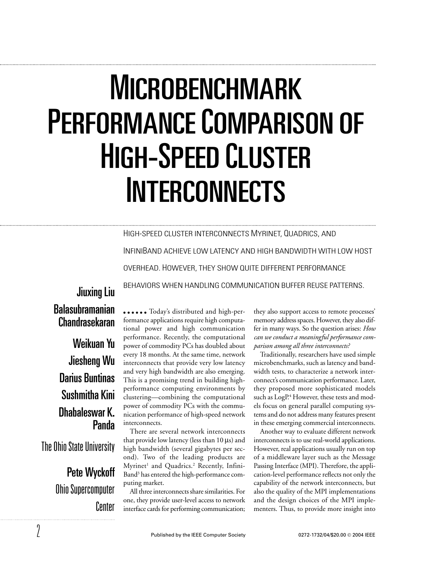# MICROBENCHMARK PERFORMANCE COMPARISON OF HIGH-SPEED CLUSTER INTERCONNECTS

HIGH-SPEED CLUSTER INTERCONNECTS MYRINET, QUADRICS, AND INFINIBAND ACHIEVE LOW LATENCY AND HIGH BANDWIDTH WITH LOW HOST OVERHEAD. HOWEVER, THEY SHOW QUITE DIFFERENT PERFORMANCE BEHAVIORS WHEN HANDLING COMMUNICATION BUFFER REUSE PATTERNS.

# Jiuxing Liu Balasubramanian Chandrasekaran

Weikuan Yu Jiesheng Wu Darius Buntinas Sushmitha Kini Dhabaleswar K. Panda

The Ohio State University

Pete Wyckoff Ohio Supercomputer Center

Today's distributed and high-performance applications require high computational power and high communication performance. Recently, the computational power of commodity PCs has doubled about every 18 months. At the same time, network interconnects that provide very low latency and very high bandwidth are also emerging. This is a promising trend in building highperformance computing environments by clustering—combining the computational power of commodity PCs with the communication performance of high-speed network interconnects.

There are several network interconnects that provide low latency (less than 10 µs) and high bandwidth (several gigabytes per second). Two of the leading products are Myrinet<sup>1</sup> and Quadrics.<sup>2</sup> Recently, Infini-Band3 has entered the high-performance computing market.

All three interconnects share similarities. For one, they provide user-level access to network interface cards for performing communication;

they also support access to remote processes' memory address spaces. However, they also differ in many ways. So the question arises: *How can we conduct a meaningful performance comparison among all three interconnects?* 

Traditionally, researchers have used simple microbenchmarks, such as latency and bandwidth tests, to characterize a network interconnect's communication performance. Later, they proposed more sophisticated models such as LogP.<sup>4</sup> However, these tests and models focus on general parallel computing systems and do not address many features present in these emerging commercial interconnects.

Another way to evaluate different network interconnects is to use real-world applications. However, real applications usually run on top of a middleware layer such as the Message Passing Interface (MPI). Therefore, the application-level performance reflects not only the capability of the network interconnects, but also the quality of the MPI implementations and the design choices of the MPI implementers. Thus, to provide more insight into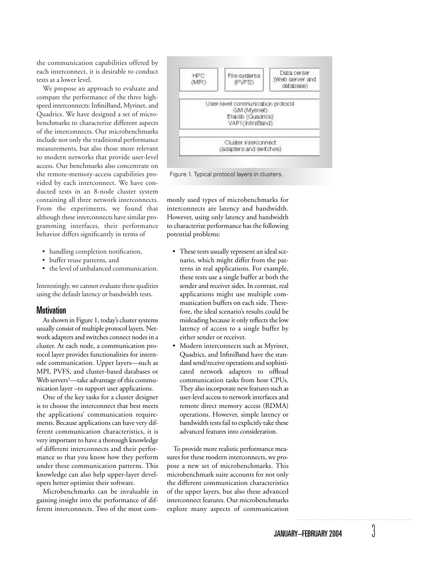the communication capabilities offered by each interconnect, it is desirable to conduct tests at a lower level.

We propose an approach to evaluate and compare the performance of the three highspeed interconnects: InfiniBand, Myrinet, and Quadrics. We have designed a set of microbenchmarks to characterize different aspects of the interconnects. Our microbenchmarks include not only the traditional performance measurements, but also those more relevant to modern networks that provide user-level access. Our benchmarks also concentrate on the remote-memory-access capabilities provided by each interconnect. We have conducted tests in an 8-node cluster system containing all three network interconnects. From the experiments, we found that although these interconnects have similar programming interfaces, their performance behavior differs significantly in terms of

- handling completion notification,
- buffer reuse patterns, and
- the level of unbalanced communication.

Interestingly, we cannot evaluate these qualities using the default latency or bandwidth tests.

#### **Motivation**

As shown in Figure 1, today's cluster systems usually consist of multiple protocol layers. Network adapters and switches connect nodes in a cluster. At each node, a communication protocol layer provides functionalities for internode communication. Upper layers—such as MPI, PVFS, and cluster-based databases or Web servers<sup>5</sup>—take advantage of this communication layer –to support user applications.

One of the key tasks for a cluster designer is to choose the interconnect that best meets the applications' communication requirements. Because applications can have very different communication characteristics, it is very important to have a thorough knowledge of different interconnects and their performance so that you know how they perform under these communication patterns. This knowledge can also help upper-layer developers better optimize their software.

Microbenchmarks can be invaluable in gaining insight into the performance of different interconnects. Two of the most com-



Figure 1. Typical protocol layers in clusters.

monly used types of microbenchmarks for interconnects are latency and bandwidth. However, using only latency and bandwidth to characterize performance has the following potential problems:

- These tests usually represent an ideal scenario, which might differ from the patterns in real applications. For example, these tests use a single buffer at both the sender and receiver sides. In contrast, real applications might use multiple communication buffers on each side. Therefore, the ideal scenario's results could be misleading because it only reflects the low latency of access to a single buffer by either sender or receiver.
- Modern interconnects such as Myrinet, Quadrics, and InfiniBand have the standard send/receive operations and sophisticated network adapters to offload communication tasks from host CPUs. They also incorporate new features such as user-level access to network interfaces and remote direct memory access (RDMA) operations. However, simple latency or bandwidth tests fail to explicitly take these advanced features into consideration.

To provide more realistic performance measures for these modern interconnects, we propose a new set of microbenchmarks. This microbenchmark suite accounts for not only the different communication characteristics of the upper layers, but also these advanced interconnect features. Our microbenchmarks explore many aspects of communication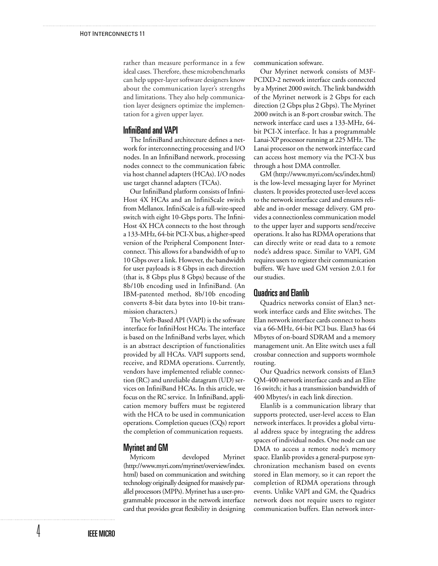rather than measure performance in a few ideal cases. Therefore, these microbenchmarks can help upper-layer software designers know about the communication layer's strengths and limitations. They also help communication layer designers optimize the implementation for a given upper layer.

# InfiniBand and VAPI

The InfiniBand architecture defines a network for interconnecting processing and I/O nodes. In an InfiniBand network, processing nodes connect to the communication fabric via host channel adapters (HCAs). I/O nodes use target channel adapters (TCAs).

Our InfiniBand platform consists of Infini-Host 4X HCAs and an InfiniScale switch from Mellanox. InfiniScale is a full-wire-speed switch with eight 10-Gbps ports. The Infini-Host 4X HCA connects to the host through a 133-MHz, 64-bit PCI-X bus, a higher-speed version of the Peripheral Component Interconnect. This allows for a bandwidth of up to 10 Gbps over a link. However, the bandwidth for user payloads is 8 Gbps in each direction (that is, 8 Gbps plus 8 Gbps) because of the 8b/10b encoding used in InfiniBand. (An IBM-patented method, 8b/10b encoding converts 8-bit data bytes into 10-bit transmission characters.)

The Verb-Based API (VAPI) is the software interface for InfiniHost HCAs. The interface is based on the InfiniBand verbs layer, which is an abstract description of functionalities provided by all HCAs. VAPI supports send, receive, and RDMA operations. Currently, vendors have implemented reliable connection (RC) and unreliable datagram (UD) services on InfiniBand HCAs. In this article, we focus on the RC service. In InfiniBand, application memory buffers must be registered with the HCA to be used in communication operations. Completion queues (CQs) report the completion of communication requests.

# **Myrinet and GM**<br>Myricom

developed Myrinet (http://www.myri.com/myrinet/overview/index. html) based on communication and switching technology originally designed for massively parallel processors (MPPs). Myrinet has a user-programmable processor in the network interface card that provides great flexibility in designing communication software.

Our Myrinet network consists of M3F-PCIXD-2 network interface cards connected by a Myrinet 2000 switch. The link bandwidth of the Myrinet network is 2 Gbps for each direction (2 Gbps plus 2 Gbps). The Myrinet 2000 switch is an 8-port crossbar switch. The network interface card uses a 133-MHz, 64 bit PCI-X interface. It has a programmable Lanai-XP processor running at 225 MHz. The Lanai processor on the network interface card can access host memory via the PCI-X bus through a host DMA controller.

GM (http://www.myri.com/scs/index.html) is the low-level messaging layer for Myrinet clusters. It provides protected user-level access to the network interface card and ensures reliable and in-order message delivery. GM provides a connectionless communication model to the upper layer and supports send/receive operations. It also has RDMA operations that can directly write or read data to a remote node's address space. Similar to VAPI, GM requires users to register their communication buffers. We have used GM version 2.0.1 for our studies.

#### Quadrics and Elanlib

Quadrics networks consist of Elan3 network interface cards and Elite switches. The Elan network interface cards connect to hosts via a 66-MHz, 64-bit PCI bus. Elan3 has 64 Mbytes of on-board SDRAM and a memory management unit. An Elite switch uses a full crossbar connection and supports wormhole routing.

Our Quadrics network consists of Elan3 QM-400 network interface cards and an Elite 16 switch; it has a transmission bandwidth of 400 Mbytes/s in each link direction.

Elanlib is a communication library that supports protected, user-level access to Elan network interfaces. It provides a global virtual address space by integrating the address spaces of individual nodes. One node can use DMA to access a remote node's memory space. Elanlib provides a general-purpose synchronization mechanism based on events stored in Elan memory, so it can report the completion of RDMA operations through events. Unlike VAPI and GM, the Quadrics network does not require users to register communication buffers. Elan network inter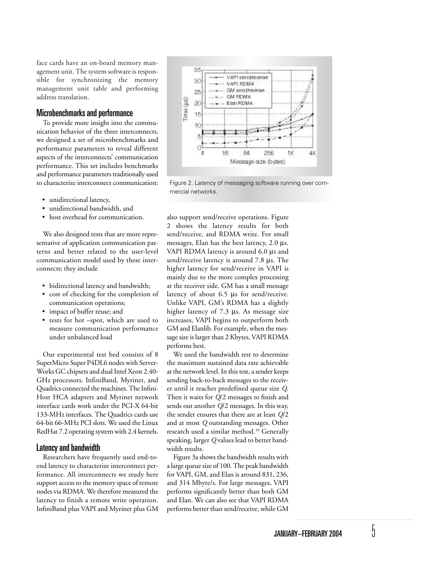face cards have an on-board memory management unit. The system software is responsible for synchronizing the memory management unit table and performing address translation.

## Microbenchmarks and performance

To provide more insight into the communication behavior of the three interconnects, we designed a set of microbenchmarks and performance parameters to reveal different aspects of the interconnects' communication performance. This set includes benchmarks and performance parameters traditionally used to characterize interconnect communication:

- unidirectional latency,
- unidirectional bandwidth, and
- host overhead for communication.

We also designed tests that are more representative of application communication patterns and better related to the user-level communication model used by these interconnects; they include

- bidirectional latency and bandwidth;
- cost of checking for the completion of communication operations;
- impact of buffer reuse; and
- tests for hot –spot, which are used to measure communication performance under unbalanced load

Our experimental test bed consists of 8 SuperMicro Super P4DL6 nodes with Server-Works GC chipsets and dual Intel Xeon 2.40- GHz processors. InfiniBand, Myrinet, and Quadrics connected the machines. The Infini-Host HCA adapters and Myrinet network interface cards work under the PCI-X 64-bit 133-MHz interfaces. The Quadrics cards use 64-bit 66-MHz PCI slots. We used the Linux RedHat 7.2 operating system with 2.4 kernels.

#### Latency and bandwidth

Researchers have frequently used end-toend latency to characterize interconnect performance. All interconnects we study here support access to the memory space of remote nodes via RDMA. We therefore measured the latency to finish a remote write operation. InfiniBand plus VAPI and Myrinet plus GM



Figure 2. Latency of messaging software running over commercial networks.

also support send/receive operations. Figure 2 shows the latency results for both send/receive, and RDMA write. For small messages, Elan has the best latency, 2.0 µs. VAPI RDMA latency is around 6.0 µs and send/receive latency is around 7.8 µs. The higher latency for send/receive in VAPI is mainly due to the more complex processing at the receiver side. GM has a small message latency of about 6.5 µs for send/receive. Unlike VAPI, GM's RDMA has a slightly higher latency of 7.3 µs. As message size increases, VAPI begins to outperform both GM and Elanlib. For example, when the message size is larger than 2 Kbytes, VAPI RDMA performs best.

We used the bandwidth test to determine the maximum sustained data rate achievable at the network level. In this test, a sender keeps sending back-to-back messages to the receiver until it reaches predefined queue size *Q*. Then it waits for *Q*/2 messages to finish and sends out another *Q*/2 messages. In this way, the sender ensures that there are at least *Q*/2 and at most *Q* outstanding messages. Other research used a similar method.10 Generally speaking, larger *Q* values lead to better bandwidth results.

Figure 3a shows the bandwidth results with a large queue size of 100. The peak bandwidth for VAPI, GM, and Elan is around 831, 236, and 314 Mbyte/s. For large messages, VAPI performs significantly better than both GM and Elan. We can also see that VAPI RDMA performs better than send/receive, while GM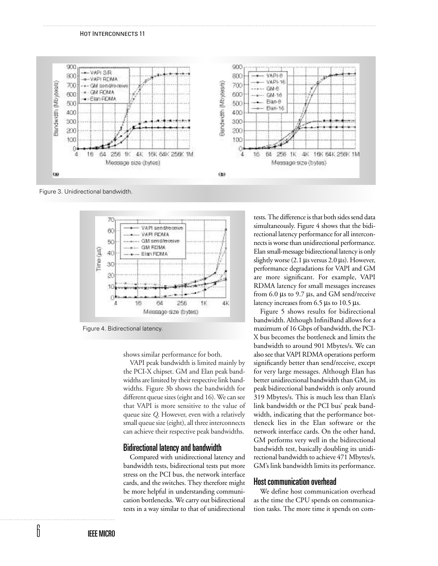

Figure 3. Unidirectional bandwidth.



Figure 4. Bidirectional latency.

shows similar performance for both.

VAPI peak bandwidth is limited mainly by the PCI-X chipset. GM and Elan peak bandwidths are limited by their respective link bandwidths. Figure 3b shows the bandwidth for different queue sizes (eight and 16). We can see that VAPI is more sensitive to the value of queue size *Q*. However, even with a relatively small queue size (eight), all three interconnects can achieve their respective peak bandwidths.

### Bidirectional latency and bandwidth

Compared with unidirectional latency and bandwidth tests, bidirectional tests put more stress on the PCI bus, the network interface cards, and the switches. They therefore might be more helpful in understanding communication bottlenecks. We carry out bidirectional tests in a way similar to that of unidirectional

tests. The difference is that both sides send data simultaneously. Figure 4 shows that the bidirectional latency performance for all interconnects is worse than unidirectional performance. Elan small-message bidirectional latency is only slightly worse (2.1 µs versus 2.0 µs). However, performance degradations for VAPI and GM are more significant. For example, VAPI RDMA latency for small messages increases from 6.0 µs to 9.7 µs, and GM send/receive latency increases from 6.5 µs to 10.5 µs.

Figure 5 shows results for bidirectional bandwidth. Although InfiniBand allows for a maximum of 16 Gbps of bandwidth, the PCI-X bus becomes the bottleneck and limits the bandwidth to around 901 Mbytes/s. We can also see that VAPI RDMA operations perform significantly better than send/receive, except for very large messages. Although Elan has better unidirectional bandwidth than GM, its peak bidirectional bandwidth is only around 319 Mbytes/s. This is much less than Elan's link bandwidth or the PCI bus' peak bandwidth, indicating that the performance bottleneck lies in the Elan software or the network interface cards. On the other hand, GM performs very well in the bidirectional bandwidth test, basically doubling its unidirectional bandwidth to achieve 471 Mbytes/s. GM's link bandwidth limits its performance.

#### Host communication overhead

We define host communication overhead as the time the CPU spends on communication tasks. The more time it spends on com-

6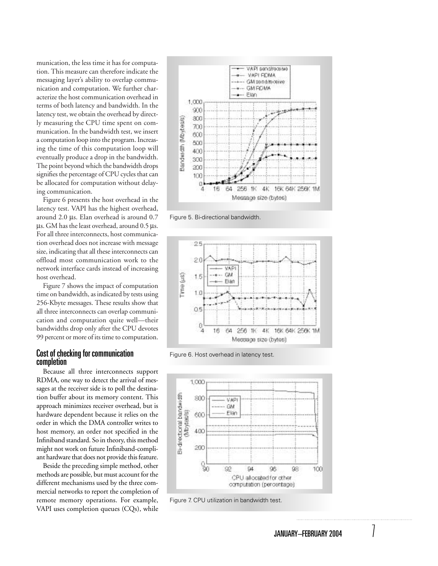munication, the less time it has for computation. This measure can therefore indicate the messaging layer's ability to overlap communication and computation. We further characterize the host communication overhead in terms of both latency and bandwidth. In the latency test, we obtain the overhead by directly measuring the CPU time spent on communication. In the bandwidth test, we insert a computation loop into the program. Increasing the time of this computation loop will eventually produce a drop in the bandwidth. The point beyond which the bandwidth drops signifies the percentage of CPU cycles that can be allocated for computation without delaying communication.

Figure 6 presents the host overhead in the latency test. VAPI has the highest overhead, around 2.0 µs. Elan overhead is around 0.7 µs. GM has the least overhead, around 0.5 µs. For all three interconnects, host communication overhead does not increase with message size, indicating that all these interconnects can offload most communication work to the network interface cards instead of increasing host overhead.

Figure 7 shows the impact of computation time on bandwidth, as indicated by tests using 256-Kbyte messages. These results show that all three interconnects can overlap communication and computation quite well—their bandwidths drop only after the CPU devotes 99 percent or more of its time to computation.

### Cost of checking for communication completion

Because all three interconnects support RDMA, one way to detect the arrival of messages at the receiver side is to poll the destination buffer about its memory content. This approach minimizes receiver overhead, but is hardware dependent because it relies on the order in which the DMA controller writes to host memory, an order not specified in the Infiniband standard. So in theory, this method might not work on future Infiniband-compliant hardware that does not provide this feature.

Beside the preceding simple method, other methods are possible, but must account for the different mechanisms used by the three commercial networks to report the completion of remote memory operations. For example, VAPI uses completion queues (CQs), while



Figure 5. Bi-directional bandwidth.



Figure 6. Host overhead in latency test.



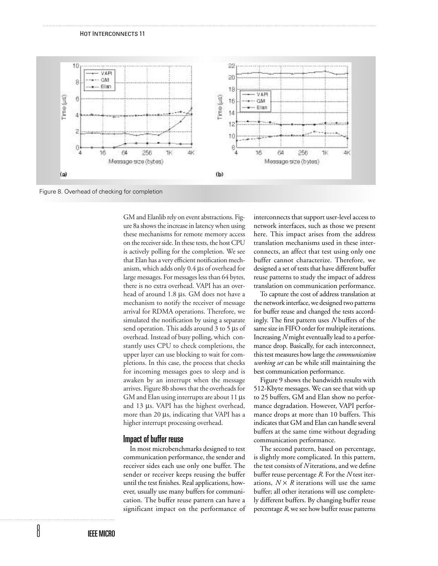

Figure 8. Overhead of checking for completion

GM and Elanlib rely on event abstractions. Figure 8a shows the increase in latency when using these mechanisms for remote memory access on the receiver side. In these tests, the host CPU is actively polling for the completion. We see that Elan has a very efficient notification mechanism, which adds only 0.4 µs of overhead for large messages. For messages less than 64 bytes, there is no extra overhead. VAPI has an overhead of around 1.8 µs. GM does not have a mechanism to notify the receiver of message arrival for RDMA operations. Therefore, we simulated the notification by using a separate send operation. This adds around 3 to 5 µs of overhead. Instead of busy polling, which constantly uses CPU to check completions, the upper layer can use blocking to wait for completions. In this case, the process that checks for incoming messages goes to sleep and is awaken by an interrupt when the message arrives. Figure 8b shows that the overheads for GM and Elan using interrupts are about 11 µs and 13 µs. VAPI has the highest overhead, more than 20 µs, indicating that VAPI has a higher interrupt processing overhead.

### Impact of buffer reuse

In most microbenchmarks designed to test communication performance, the sender and receiver sides each use only one buffer. The sender or receiver keeps reusing the buffer until the test finishes. Real applications, however, usually use many buffers for communication. The buffer reuse pattern can have a significant impact on the performance of interconnects that support user-level access to network interfaces, such as those we present here. This impact arises from the address translation mechanisms used in these interconnects, an affect that test using only one buffer cannot characterize. Therefore, we designed a set of tests that have different buffer reuse patterns to study the impact of address translation on communication performance.

To capture the cost of address translation at the network interface, we designed two patterns for buffer reuse and changed the tests accordingly. The first pattern uses *N* buffers of the same size in FIFO order for multiple iterations. Increasing *N* might eventually lead to a performance drop. Basically, for each interconnect, this test measures how large the *communication working set* can be while still maintaining the best communication performance.

Figure 9 shows the bandwidth results with 512-Kbyte messages. We can see that with up to 25 buffers, GM and Elan show no performance degradation. However, VAPI performance drops at more than 10 buffers. This indicates that GM and Elan can handle several buffers at the same time without degrading communication performance.

The second pattern, based on percentage, is slightly more complicated. In this pattern, the test consists of *N* iterations, and we define buffer reuse percentage *R*. For the *N* test iterations,  $N \times R$  iterations will use the same buffer; all other iterations will use completely different buffers. By changing buffer reuse percentage *R*, we see how buffer reuse patterns

8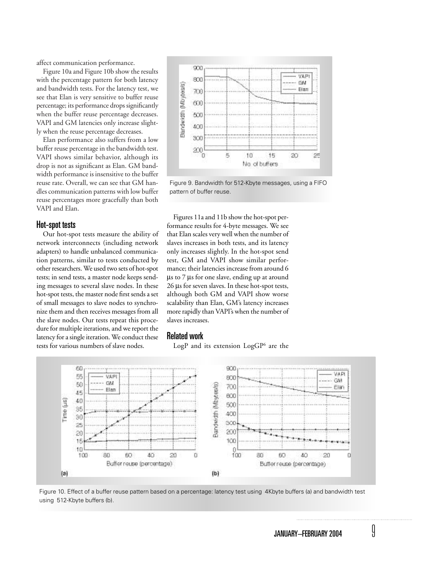affect communication performance.

Figure 10a and Figure 10b show the results with the percentage pattern for both latency and bandwidth tests. For the latency test, we see that Elan is very sensitive to buffer reuse percentage; its performance drops significantly when the buffer reuse percentage decreases. VAPI and GM latencies only increase slightly when the reuse percentage decreases.

Elan performance also suffers from a low buffer reuse percentage in the bandwidth test. VAPI shows similar behavior, although its drop is not as significant as Elan. GM bandwidth performance is insensitive to the buffer reuse rate. Overall, we can see that GM handles communication patterns with low buffer reuse percentages more gracefully than both VAPI and Elan.

#### Hot-spot tests

Our hot-spot tests measure the ability of network interconnects (including network adapters) to handle unbalanced communication patterns, similar to tests conducted by other researchers. We used two sets of hot-spot tests; in send tests, a master node keeps sending messages to several slave nodes. In these hot-spot tests, the master node first sends a set of small messages to slave nodes to synchronize them and then receives messages from all the slave nodes. Our tests repeat this procedure for multiple iterations, and we report the latency for a single iteration. We conduct these tests for various numbers of slave nodes.



Figure 9. Bandwidth for 512-Kbyte messages, using a FIFO pattern of buffer reuse.

Figures 11a and 11b show the hot-spot performance results for 4-byte messages. We see that Elan scales very well when the number of slaves increases in both tests, and its latency only increases slightly. In the hot-spot send test, GM and VAPI show similar performance; their latencies increase from around 6 µs to 7 µs for one slave, ending up at around 26 µs for seven slaves. In these hot-spot tests, although both GM and VAPI show worse scalability than Elan, GM's latency increases more rapidly than VAPI's when the number of slaves increases.

## Related work

LogP and its extension  $LogGP<sup>6</sup>$  are the



Figure 10. Effect of a buffer reuse pattern based on a percentage: latency test using 4Kbyte buffers (a) and bandwidth test using 512-Kbyte buffers (b).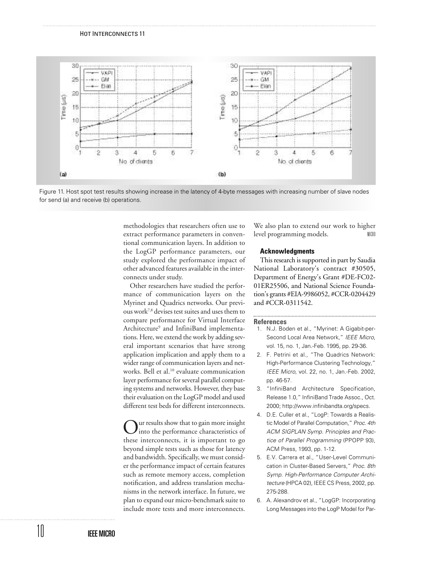

Figure 11. Host spot test results showing increase in the latency of 4-byte messages with increasing number of slave nodes for send (a) and receive (b) operations.

methodologies that researchers often use to extract performance parameters in conventional communication layers. In addition to the LogGP performance parameters, our study explored the performance impact of other advanced features available in the interconnects under study.

Other researchers have studied the performance of communication layers on the Myrinet and Quadrics networks. Our previous work7,8 devises test suites and uses them to compare performance for Virtual Interface Architecture9 and InfiniBand implementations. Here, we extend the work by adding several important scenarios that have strong application implication and apply them to a wider range of communication layers and networks. Bell et al.<sup>10</sup> evaluate communication layer performance for several parallel computing systems and networks. However, they base their evaluation on the LogGP model and used different test beds for different interconnects.

ur results show that to gain more insight into the performance characteristics of these interconnects, it is important to go beyond simple tests such as those for latency and bandwidth. Specifically, we must consider the performance impact of certain features such as remote memory access, completion notification, and address translation mechanisms in the network interface. In future, we plan to expand our micro-benchmark suite to include more tests and more interconnects.

We also plan to extend our work to higher level programming models.

#### **Acknowledgments**

This research is supported in part by Saudia National Laboratory's contract #30505, Department of Energy's Grant #DE-FC02- 01ER25506, and National Science Foundation's grants #EIA-9986052, #CCR-0204429 and #CCR-0311542.

#### **References**

- 1. N.J. Boden et al., "Myrinet: A Gigabit-per-Second Local Area Network," *IEEE Micro*, vol. 15, no. 1, Jan.-Feb. 1995, pp. 29-36.
- 2. F. Petrini et al., "The Quadrics Network: High-Performance Clustering Technology," *IEEE Micro*, vol. 22, no. 1, Jan.-Feb. 2002, pp. 46-57.
- 3. "InfiniBand Architecture Specification, Release 1.0," InfiniBand Trade Assoc., Oct. 2000; http://www.infinibandta.org/specs.
- 4. D.E. Culler et al., "LogP: Towards a Realistic Model of Parallel Computation," *Proc. 4th ACM SIGPLAN Symp. Principles and Practice of Parallel Programming* (PPOPP 93), ACM Press, 1993, pp. 1-12.
- 5. E.V. Carrera et al., "User-Level Communication in Cluster-Based Servers," *Proc. 8th Symp. High-Performance Computer Architecture* (HPCA 02), IEEE CS Press, 2002, pp. 275-288.
- 6. A. Alexandrov et al., "LogGP: Incorporating Long Messages into the LogP Model for Par-